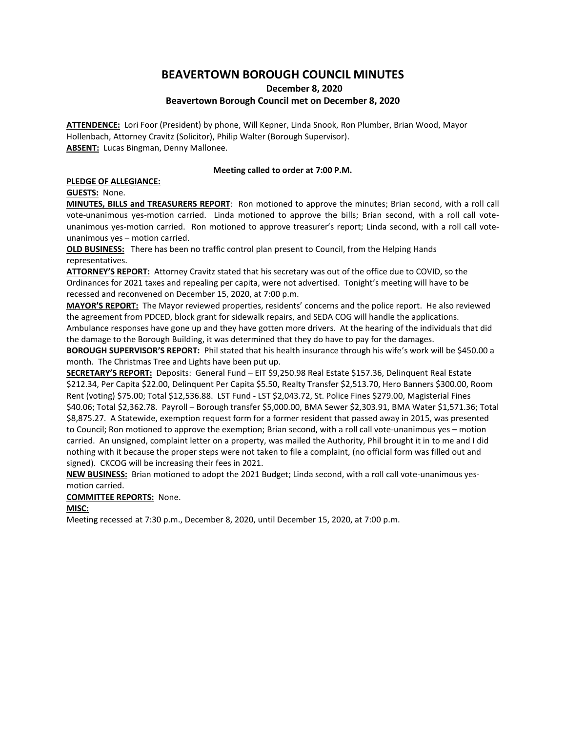# **BEAVERTOWN BOROUGH COUNCIL MINUTES**

**December 8, 2020**

## **Beavertown Borough Council met on December 8, 2020**

**ATTENDENCE:** Lori Foor (President) by phone, Will Kepner, Linda Snook, Ron Plumber, Brian Wood, Mayor Hollenbach, Attorney Cravitz (Solicitor), Philip Walter (Borough Supervisor). **ABSENT:** Lucas Bingman, Denny Mallonee.

### **Meeting called to order at 7:00 P.M.**

#### **PLEDGE OF ALLEGIANCE:**

**GUESTS:** None.

**MINUTES, BILLS and TREASURERS REPORT**: Ron motioned to approve the minutes; Brian second, with a roll call vote-unanimous yes-motion carried. Linda motioned to approve the bills; Brian second, with a roll call voteunanimous yes-motion carried. Ron motioned to approve treasurer's report; Linda second, with a roll call voteunanimous yes – motion carried.

**OLD BUSINESS:** There has been no traffic control plan present to Council, from the Helping Hands representatives.

**ATTORNEY'S REPORT:** Attorney Cravitz stated that his secretary was out of the office due to COVID, so the Ordinances for 2021 taxes and repealing per capita, were not advertised. Tonight's meeting will have to be recessed and reconvened on December 15, 2020, at 7:00 p.m.

**MAYOR'S REPORT:** The Mayor reviewed properties, residents' concerns and the police report. He also reviewed the agreement from PDCED, block grant for sidewalk repairs, and SEDA COG will handle the applications. Ambulance responses have gone up and they have gotten more drivers. At the hearing of the individuals that did the damage to the Borough Building, it was determined that they do have to pay for the damages.

**BOROUGH SUPERVISOR'S REPORT:** Phil stated that his health insurance through his wife's work will be \$450.00 a month. The Christmas Tree and Lights have been put up.

**SECRETARY'S REPORT:** Deposits: General Fund – EIT \$9,250.98 Real Estate \$157.36, Delinquent Real Estate \$212.34, Per Capita \$22.00, Delinquent Per Capita \$5.50, Realty Transfer \$2,513.70, Hero Banners \$300.00, Room Rent (voting) \$75.00; Total \$12,536.88. LST Fund - LST \$2,043.72, St. Police Fines \$279.00, Magisterial Fines \$40.06; Total \$2,362.78. Payroll – Borough transfer \$5,000.00, BMA Sewer \$2,303.91, BMA Water \$1,571.36; Total \$8,875.27. A Statewide, exemption request form for a former resident that passed away in 2015, was presented to Council; Ron motioned to approve the exemption; Brian second, with a roll call vote-unanimous yes – motion carried. An unsigned, complaint letter on a property, was mailed the Authority, Phil brought it in to me and I did nothing with it because the proper steps were not taken to file a complaint, (no official form was filled out and signed). CKCOG will be increasing their fees in 2021.

**NEW BUSINESS:** Brian motioned to adopt the 2021 Budget; Linda second, with a roll call vote-unanimous yesmotion carried.

**COMMITTEE REPORTS:** None.

**MISC:**

Meeting recessed at 7:30 p.m., December 8, 2020, until December 15, 2020, at 7:00 p.m.